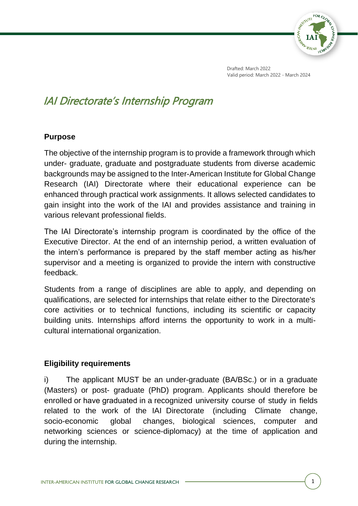

Drafted: March 2022 Valid period: March 2022 - March 2024

# IAI Directorate's Internship Program

#### **Purpose**

The objective of the internship program is to provide a framework through which under- graduate, graduate and postgraduate students from diverse academic backgrounds may be assigned to the Inter-American Institute for Global Change Research (IAI) Directorate where their educational experience can be enhanced through practical work assignments. It allows selected candidates to gain insight into the work of the IAI and provides assistance and training in various relevant professional fields.

The IAI Directorate's internship program is coordinated by the office of the Executive Director. At the end of an internship period, a written evaluation of the intern's performance is prepared by the staff member acting as his/her supervisor and a meeting is organized to provide the intern with constructive feedback.

Students from a range of disciplines are able to apply, and depending on qualifications, are selected for internships that relate either to the Directorate's core activities or to technical functions, including its scientific or capacity building units. Internships afford interns the opportunity to work in a multicultural international organization.

### **Eligibility requirements**

i) The applicant MUST be an under-graduate (BA/BSc.) or in a graduate (Masters) or post- graduate (PhD) program. Applicants should therefore be enrolled or have graduated in a recognized university course of study in fields related to the work of the IAI Directorate (including Climate change, socio-economic global changes, biological sciences, computer and networking sciences or science-diplomacy) at the time of application and during the internship.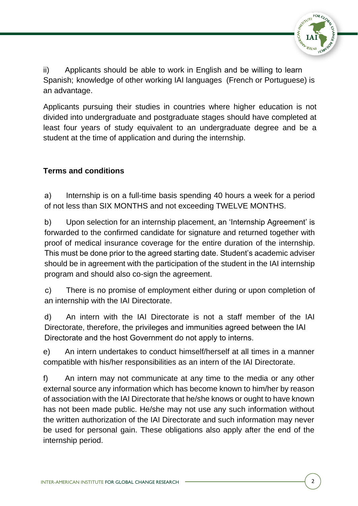

ii) Applicants should be able to work in English and be willing to learn Spanish; knowledge of other working IAI languages (French or Portuguese) is an advantage.

Applicants pursuing their studies in countries where higher education is not divided into undergraduate and postgraduate stages should have completed at least four years of study equivalent to an undergraduate degree and be a student at the time of application and during the internship.

# **Terms and conditions**

a) Internship is on a full-time basis spending 40 hours a week for a period of not less than SIX MONTHS and not exceeding TWELVE MONTHS.

b) Upon selection for an internship placement, an 'Internship Agreement' is forwarded to the confirmed candidate for signature and returned together with proof of medical insurance coverage for the entire duration of the internship. This must be done prior to the agreed starting date. Student's academic adviser should be in agreement with the participation of the student in the IAI internship program and should also co-sign the agreement.

c) There is no promise of employment either during or upon completion of an internship with the IAI Directorate.

d) An intern with the IAI Directorate is not a staff member of the IAI Directorate, therefore, the privileges and immunities agreed between the IAI Directorate and the host Government do not apply to interns.

e) An intern undertakes to conduct himself/herself at all times in a manner compatible with his/her responsibilities as an intern of the IAI Directorate.

f) An intern may not communicate at any time to the media or any other external source any information which has become known to him/her by reason of association with the IAI Directorate that he/she knows or ought to have known has not been made public. He/she may not use any such information without the written authorization of the IAI Directorate and such information may never be used for personal gain. These obligations also apply after the end of the internship period.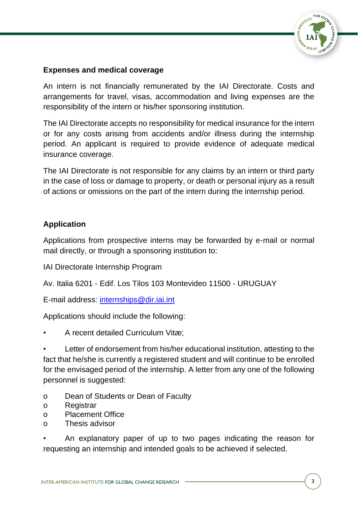

## **Expenses and medical coverage**

An intern is not financially remunerated by the IAI Directorate. Costs and arrangements for travel, visas, accommodation and living expenses are the responsibility of the intern or his/her sponsoring institution.

The IAI Directorate accepts no responsibility for medical insurance for the intern or for any costs arising from accidents and/or illness during the internship period. An applicant is required to provide evidence of adequate medical insurance coverage.

The IAI Directorate is not responsible for any claims by an intern or third party in the case of loss or damage to property, or death or personal injury as a result of actions or omissions on the part of the intern during the internship period.

## **Application**

Applications from prospective interns may be forwarded by e-mail or normal mail directly, or through a sponsoring institution to:

IAI Directorate Internship Program

Av. Italia 6201 - Edif. Los Tilos 103 Montevideo 11500 - URUGUAY

E-mail address: [internships@dir.iai.int](mailto:internships@dir.iai.int)

Applications should include the following:

• A recent detailed Curriculum Vitæ;

Letter of endorsement from his/her educational institution, attesting to the fact that he/she is currently a registered student and will continue to be enrolled for the envisaged period of the internship. A letter from any one of the following personnel is suggested:

- o Dean of Students or Dean of Faculty
- o Registrar
- o Placement Office
- o Thesis advisor

• An explanatory paper of up to two pages indicating the reason for requesting an internship and intended goals to be achieved if selected.